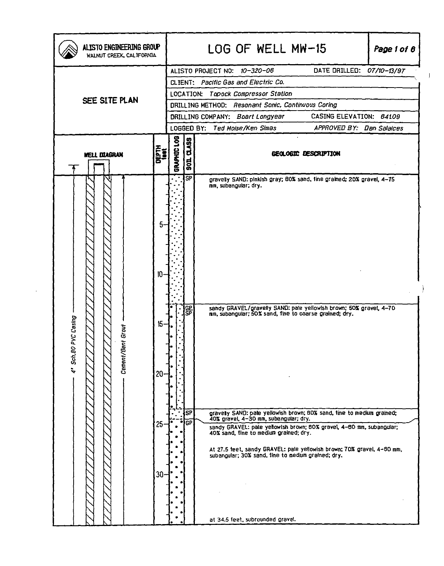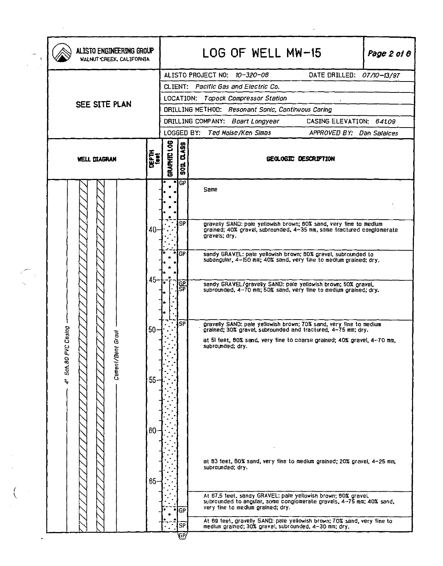|                 | ALISTO ENGINEERING GROUP<br>WALNUT CREEK, CALIFORNIA |  |                |             |                                     |                                                             | LOG OF WELL MW-15<br>Page 2 of 8                                                                                                            |  |  |  |
|-----------------|------------------------------------------------------|--|----------------|-------------|-------------------------------------|-------------------------------------------------------------|---------------------------------------------------------------------------------------------------------------------------------------------|--|--|--|
|                 |                                                      |  |                |             |                                     |                                                             | ALISTO PROJECT NO: 10-320-06<br>DATE DRILLED: 07/10-13/97                                                                                   |  |  |  |
|                 |                                                      |  |                |             |                                     |                                                             | CLIENT: Pacific Gas and Electric Co.                                                                                                        |  |  |  |
|                 |                                                      |  |                |             | LOCATION: Topock Compressor Station |                                                             |                                                                                                                                             |  |  |  |
|                 | SEE SITE PLAN                                        |  |                |             |                                     | DRILLING METHOD: Resonant Sonic, Continuous Coring          |                                                                                                                                             |  |  |  |
|                 |                                                      |  |                |             |                                     | DRILLING COMPANY: Boart Longyear<br>CASING ELEVATION: 64109 |                                                                                                                                             |  |  |  |
|                 |                                                      |  |                |             |                                     |                                                             | LOGGED BY: Ted Moise/Ken Simas<br>APPROVED BY: Dan Salaices                                                                                 |  |  |  |
|                 | <b>DEPTH</b><br>Lion<br><b>WELL DIAGRAN</b>          |  |                | GRAPHIC LOG | <b>Q.A99</b><br>$\frac{1}{5}$       | GEOLOGIC DESCRIPTION                                        |                                                                                                                                             |  |  |  |
|                 |                                                      |  |                |             |                                     | $\blacksquare$<br>GP                                        | Same                                                                                                                                        |  |  |  |
|                 |                                                      |  |                |             |                                     |                                                             |                                                                                                                                             |  |  |  |
|                 |                                                      |  |                |             |                                     |                                                             |                                                                                                                                             |  |  |  |
|                 |                                                      |  |                | 40-         |                                     | SΡ                                                          | gravelly SAND: pale yellowish brown; 60% sand, very fine to medium<br>grained; 40% gravel, subrounded, 4-35 mm, some tractured conglomerate |  |  |  |
|                 |                                                      |  |                |             |                                     |                                                             | gravels; dry.                                                                                                                               |  |  |  |
|                 |                                                      |  |                |             |                                     | <b>GP</b>                                                   | sandy GRAVEL: pale yellowish brown; BOX gravel, subrounded to                                                                               |  |  |  |
|                 |                                                      |  |                |             |                                     |                                                             | subangular, 4-150 mm; 40% sand, very line to medium grained; dry.                                                                           |  |  |  |
|                 |                                                      |  |                |             |                                     |                                                             |                                                                                                                                             |  |  |  |
|                 |                                                      |  |                | 45          |                                     | GР<br>ŚΡ                                                    | sandy GRAVEL/gravelly SAND: pale yellowish brown; 50% gravel,<br>subrounded, 4–70 mm; 50% sand, very tine to medium grained; dry.           |  |  |  |
|                 |                                                      |  |                |             |                                     |                                                             |                                                                                                                                             |  |  |  |
|                 |                                                      |  |                |             |                                     |                                                             |                                                                                                                                             |  |  |  |
|                 |                                                      |  |                |             |                                     | SP                                                          | gravelly SAND: pale yellowish brown; 70% sand, very fine to medium<br>grained; 30% gravel, subrounded and tractured, 4-75 mm; dry.          |  |  |  |
|                 | Sch. 80 PVC Casing                                   |  | ā              | $50-$       |                                     |                                                             | at 51 feet, 80% sand, very fine to coarse grained; 40% gravel, 4-70 mm,                                                                     |  |  |  |
|                 |                                                      |  |                |             |                                     |                                                             | subrounded; dry.                                                                                                                            |  |  |  |
|                 |                                                      |  |                |             |                                     |                                                             |                                                                                                                                             |  |  |  |
|                 |                                                      |  | Cement/Bent Gr |             |                                     |                                                             |                                                                                                                                             |  |  |  |
| $\ddot{\bm{r}}$ |                                                      |  |                | 55          |                                     |                                                             |                                                                                                                                             |  |  |  |
|                 |                                                      |  |                |             |                                     |                                                             |                                                                                                                                             |  |  |  |
|                 |                                                      |  |                |             |                                     |                                                             |                                                                                                                                             |  |  |  |
|                 |                                                      |  |                |             |                                     |                                                             |                                                                                                                                             |  |  |  |
|                 |                                                      |  |                | 60          |                                     |                                                             |                                                                                                                                             |  |  |  |
|                 |                                                      |  |                |             |                                     |                                                             |                                                                                                                                             |  |  |  |
|                 |                                                      |  |                |             |                                     |                                                             |                                                                                                                                             |  |  |  |
|                 |                                                      |  |                |             |                                     |                                                             | at 63 feet, 80% sand, very fine to medium grained; 20% gravel, 4-25 mm,<br>subrounded; dry.                                                 |  |  |  |
|                 |                                                      |  |                | $65 -$      |                                     |                                                             |                                                                                                                                             |  |  |  |
|                 |                                                      |  |                |             |                                     |                                                             | At 67.5 feet, sandy GRAVEL: pale yellowish brown; 80% gravel,                                                                               |  |  |  |
|                 |                                                      |  |                |             |                                     | GР                                                          | subrounded to angular, some conglomerate gravels, 4-75 mm; 40% sand,<br>very tine to medlum grained; dry.                                   |  |  |  |
|                 |                                                      |  |                |             |                                     |                                                             | At 89 feet, gravelly SAND: pale yellowish brown; 70% sand, very fine to                                                                     |  |  |  |
|                 |                                                      |  |                |             |                                     | SP<br>Ψ                                                     | medium grained; 30% gravel, subrounded, 4-30 mm; dry.                                                                                       |  |  |  |

 $\mathcal{L}(\mathcal{A})$  and  $\mathcal{L}(\mathcal{A})$  .

 $\begin{pmatrix} 1 & 1 \\ 1 & 1 \\ 1 & 1 \end{pmatrix}$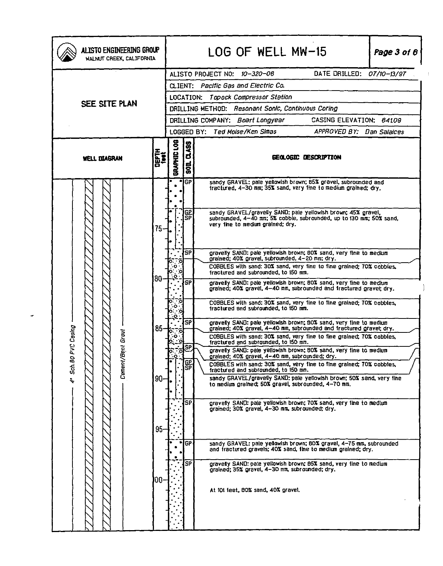| ALISTO ENGINEERING GROUP<br>WALNUT CREEK, CALIFORNIA |                          |                                                             |                      | LOG OF WELL MW-15<br>Page 3 of 8                                                                                                                                          |  |  |  |  |
|------------------------------------------------------|--------------------------|-------------------------------------------------------------|----------------------|---------------------------------------------------------------------------------------------------------------------------------------------------------------------------|--|--|--|--|
|                                                      |                          |                                                             |                      | DATE DRILLED: 07/10-13/97<br>ALISTO PROJECT NO: 10-320-06                                                                                                                 |  |  |  |  |
|                                                      |                          | CLIENT: Pacific Gas and Electric Co.                        |                      |                                                                                                                                                                           |  |  |  |  |
|                                                      |                          | <b>Topock Compressor Station</b><br><b>LOCATION:</b>        |                      |                                                                                                                                                                           |  |  |  |  |
| SEE SITE PLAN                                        |                          | DRILLING METHOD: Resonant Sonic, Continuous Coring          |                      |                                                                                                                                                                           |  |  |  |  |
|                                                      |                          | CASING ELEVATION: 64109<br>DRILLING COMPANY: Boart Longyear |                      |                                                                                                                                                                           |  |  |  |  |
|                                                      |                          | LOGGED BY: Ted Moise/Ken Simas<br>APPROVED BY: Dan Salaices |                      |                                                                                                                                                                           |  |  |  |  |
| <b>WELL DIAGRAN</b>                                  | BRARHIC LOB<br>ne<br>Set | 02495<br>$\frac{1}{2}$                                      | GEOLOGIC DESCRIPTION |                                                                                                                                                                           |  |  |  |  |
|                                                      |                          | ∙                                                           | <b>GP</b>            | sandy GRAVEL: pale yellowish brown; B5% gravel, subrounded and<br>tractured, 4-30 mm; 35% sand, very tine to medium grained; dry.                                         |  |  |  |  |
|                                                      | $75 -$                   |                                                             | 똃                    | sandy GRAVEL/gravelly SAND: pale yellowish brown; 45% gravel,<br>subrounded, 4-40 mm; 5% cobble, subrounded, up to 130 mm; 50% sand,<br>very time to medium grained; dry. |  |  |  |  |
|                                                      |                          |                                                             | SP                   | gravelly SAND: pale yellowish brown; BO% sand, very fine to medium<br>grained; 40% gravel, subrounded, 4-20 mm; dry.                                                      |  |  |  |  |
|                                                      |                          |                                                             |                      | COBBLES with sand: 30% sand, very fine to fine grained; 70% cobbles,<br>fractured and subrounded, to 150 mm.                                                              |  |  |  |  |
|                                                      | 80-                      |                                                             | <b>SP</b>            | gravelly SAND: pale yellowish brown; BOX sand, very fine to medium<br>grained: 40% gravel, 4-40 mm, subrounded and tractured gravel; dry.                                 |  |  |  |  |
|                                                      |                          |                                                             |                      | COBBLES with sand: 30% sand, very fine to fine grained; 70% cobbles,<br>tractured and subrounded, to 150 mm.                                                              |  |  |  |  |
| Casing                                               | 85-                      |                                                             | SP                   | gravelly SAND: pale yellowish brown; 80% sand, very tine to medium<br>grained; 40% gravel, 4-40 mm, subrounded and fractured gravel; dry.                                 |  |  |  |  |
| G<br>G                                               |                          |                                                             |                      | COBBLES with sand: 30% sand, very fine to fine grained; 70% cobbles,<br>tractured and subrounded, to 150 mm.                                                              |  |  |  |  |
|                                                      |                          |                                                             |                      | gravelly SAND: pale yellowish brown; 80% sand, very fine to medium<br>grained; 40% gravel, 4-40 mm, subrounded; dry.                                                      |  |  |  |  |
| 4' Sch. 80 PVC<br>Cement/Ben                         | 90-                      |                                                             | ६P<br>SP             | COBBLES with sand: 30% sand, very fine to fine grained; 70% cobbles,<br>tractured and subrounded, to 150 mm.                                                              |  |  |  |  |
|                                                      |                          |                                                             |                      | sandy GRAVEL/gravelly SAND: pale yellowish brown; 50% sand, very fine<br>to medium grained; 50% gravel, subrounded, 4-70 mm,                                              |  |  |  |  |
|                                                      |                          |                                                             | <b>SP</b>            | gravelty SAND: pale yellowish brown; 70% sand, very tine to medium<br>grained: 30% gravel, 4-30 nm, subrounded; dry.                                                      |  |  |  |  |
|                                                      | $95 -$                   |                                                             | <b>GP</b>            | sandy GRAVEL: pale yellowish brown; 80% gravel, 4-75 mm, subrounded                                                                                                       |  |  |  |  |
|                                                      |                          |                                                             |                      | and fractured gravels; 40% sand, fine to medium grained; dry.                                                                                                             |  |  |  |  |
|                                                      | 100-                     |                                                             | <b>SP</b>            | gravelly SAND: pale yellowish brown; 85% sand, very fine to medium<br>grained; 35% gravel, 4-30 mm, subrounded; dry.                                                      |  |  |  |  |
|                                                      |                          |                                                             |                      | At 101 feet, 80% sand, 40% gravel.                                                                                                                                        |  |  |  |  |
|                                                      |                          |                                                             |                      |                                                                                                                                                                           |  |  |  |  |

 $\bar{L}$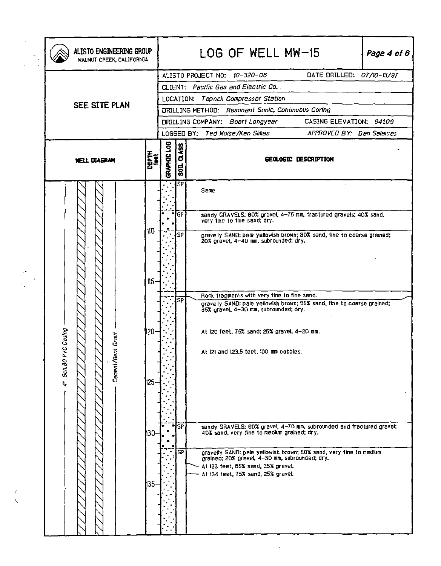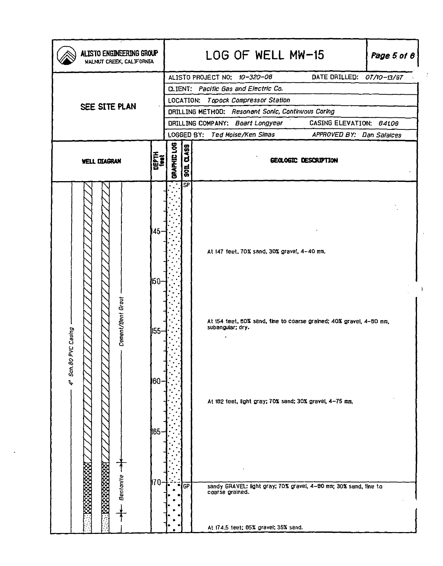| DATE DRILLED: 07/10-13/97<br>ALISTO PROJECT NO: 10-320-08<br>CLIENT: Pacific Gas and Electric Co.<br>LOCATION: Topock Compressor Station<br>SEE SITE PLAN<br>DRILLING METHOD: Resonant Sonic, Continuous Coring<br>DRILLING COMPANY: Boart Longyear<br>CASING ELEVATION: 84109<br>LOGGED BY: Ted Moise/Ken Simas<br>APPROVED BY: Dan Salaices<br>BRAPHIC LOG<br><b>Q.459</b><br><b>THEFTH</b><br>GEOLOGIC DESCRIPTION<br><b>WELL DIAGRAN</b><br>$\frac{1}{100}$<br><b>SP</b><br>$ 45-$<br>At 147 feet, 70% sand, 30% gravel, 4-40 mm.<br>160-<br>Cement/Bent Grout<br>At 154 teet, 80% sand, tine to coarse grained; 40% grave!, 4-80 mm,<br>subangular; dry.<br>Casing<br>155-<br>4' Sch.80 PVC<br>60.<br>At 182 feet, light gray; 70% sand; 30% gravel, 4-75 mm.<br><b>165</b> | ALISTO ENGINEERING GROUP<br>WALNUT CREEK, CALIFORNIA |      | LOG OF WELL MW-15<br>Page 5 of $\theta$ |           |  |  |  |  |  |
|----------------------------------------------------------------------------------------------------------------------------------------------------------------------------------------------------------------------------------------------------------------------------------------------------------------------------------------------------------------------------------------------------------------------------------------------------------------------------------------------------------------------------------------------------------------------------------------------------------------------------------------------------------------------------------------------------------------------------------------------------------------------------------|------------------------------------------------------|------|-----------------------------------------|-----------|--|--|--|--|--|
|                                                                                                                                                                                                                                                                                                                                                                                                                                                                                                                                                                                                                                                                                                                                                                                  |                                                      |      |                                         |           |  |  |  |  |  |
|                                                                                                                                                                                                                                                                                                                                                                                                                                                                                                                                                                                                                                                                                                                                                                                  |                                                      |      |                                         |           |  |  |  |  |  |
|                                                                                                                                                                                                                                                                                                                                                                                                                                                                                                                                                                                                                                                                                                                                                                                  |                                                      |      |                                         |           |  |  |  |  |  |
|                                                                                                                                                                                                                                                                                                                                                                                                                                                                                                                                                                                                                                                                                                                                                                                  |                                                      |      |                                         |           |  |  |  |  |  |
|                                                                                                                                                                                                                                                                                                                                                                                                                                                                                                                                                                                                                                                                                                                                                                                  |                                                      |      |                                         |           |  |  |  |  |  |
|                                                                                                                                                                                                                                                                                                                                                                                                                                                                                                                                                                                                                                                                                                                                                                                  |                                                      |      |                                         |           |  |  |  |  |  |
|                                                                                                                                                                                                                                                                                                                                                                                                                                                                                                                                                                                                                                                                                                                                                                                  |                                                      |      |                                         |           |  |  |  |  |  |
| sandy GRAVEL: fight gray: 70% gravel, 4-80 mm; 30% sand, 1me to<br>coarse grained.<br>At 174.5 feet; 05% gravel; 35% sand.                                                                                                                                                                                                                                                                                                                                                                                                                                                                                                                                                                                                                                                       | Bentantle                                            | ∦70- | ٠                                       | <b>GP</b> |  |  |  |  |  |

 $\ddot{\phantom{0}}$ 

 $\mathcal{X}^{\mathcal{A}}$